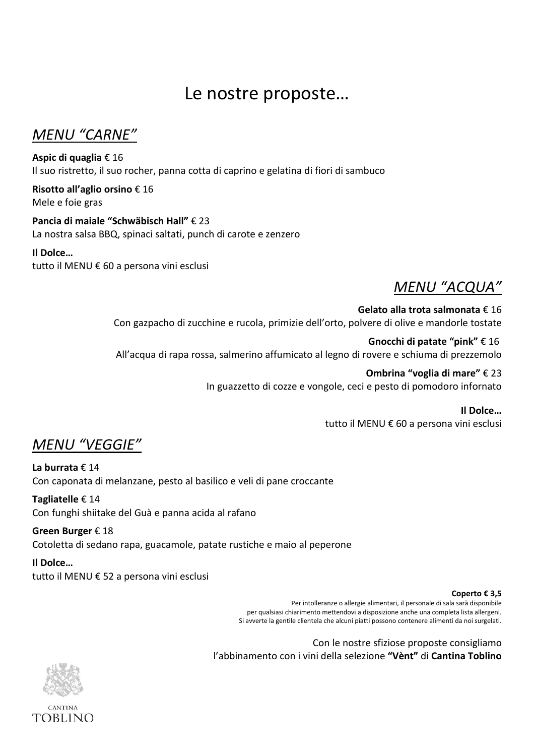# Le nostre proposte…

*MENU "CARNE"*

**Aspic di quaglia** € 16 Il suo ristretto, il suo rocher, panna cotta di caprino e gelatina di fiori di sambuco

**Risotto all'aglio orsino** € 16 Mele e foie gras

**Pancia di maiale "Schwäbisch Hall"** € 23 La nostra salsa BBQ, spinaci saltati, punch di carote e zenzero

### **Il Dolce…**

tutto il MENU € 60 a persona vini esclusi

## *MENU "ACQUA"*

**Gelato alla trota salmonata** € 16 Con gazpacho di zucchine e rucola, primizie dell'orto, polvere di olive e mandorle tostate

**Gnocchi di patate "pink"** € 16 All'acqua di rapa rossa, salmerino affumicato al legno di rovere e schiuma di prezzemolo

> **Ombrina "voglia di mare"** € 23 In guazzetto di cozze e vongole, ceci e pesto di pomodoro infornato

> > **Il Dolce…** tutto il MENU € 60 a persona vini esclusi

*MENU "VEGGIE"*

**La burrata** € 14 Con caponata di melanzane, pesto al basilico e veli di pane croccante

**Tagliatelle** € 14 Con funghi shiitake del Guà e panna acida al rafano

**Green Burger** € 18 Cotoletta di sedano rapa, guacamole, patate rustiche e maio al peperone

**Il Dolce…** tutto il MENU € 52 a persona vini esclusi

#### **Coperto € 3,5**

Per intolleranze o allergie alimentari, il personale di sala sarà disponibile per qualsiasi chiarimento mettendovi a disposizione anche una completa lista allergeni. Si avverte la gentile clientela che alcuni piatti possono contenere alimenti da noi surgelati.

Con le nostre sfiziose proposte consigliamo l'abbinamento con i vini della selezione **"Vènt"** di **Cantina Toblino**

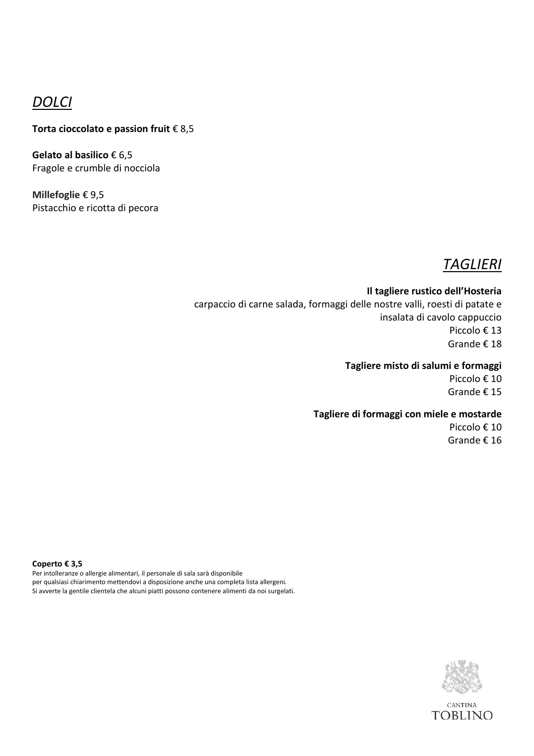### *DOLCI*

### **Torta cioccolato e passion fruit** € 8,5

**Gelato al basilico** € 6,5 Fragole e crumble di nocciola

**Millefoglie** € 9,5 Pistacchio e ricotta di pecora

## *TAGLIERI*

**Il tagliere rustico dell'Hosteria** carpaccio di carne salada, formaggi delle nostre valli, roesti di patate e insalata di cavolo cappuccio Piccolo € 13 Grande € 18

#### **Tagliere misto di salumi e formaggi**

Piccolo € 10 Grande € 15

#### **Tagliere di formaggi con miele e mostarde**

Piccolo € 10 Grande € 16

**Coperto € 3,5** Per intolleranze o allergie alimentari, il personale di sala sarà disponibile per qualsiasi chiarimento mettendovi a disposizione anche una completa lista allergeni. Si avverte la gentile clientela che alcuni piatti possono contenere alimenti da noi surgelati.

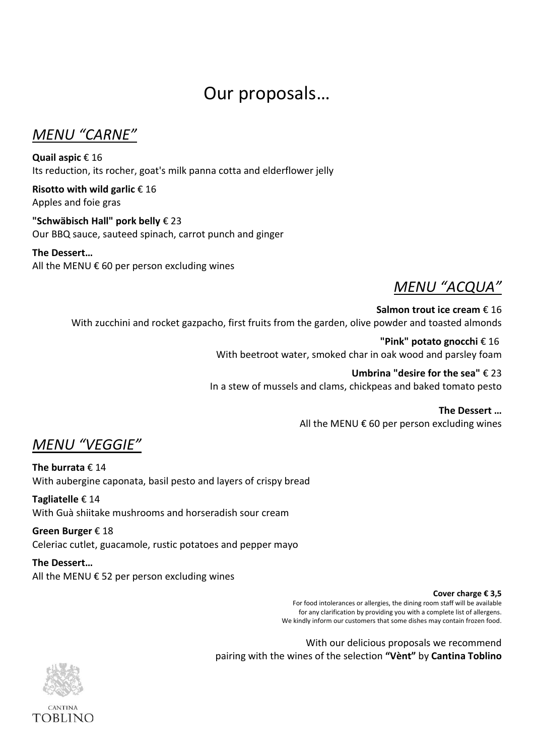# Our proposals…

*MENU "CARNE"*

**Quail aspic** € 16 Its reduction, its rocher, goat's milk panna cotta and elderflower jelly

**Risotto with wild garlic** € 16 Apples and foie gras

**"Schwäbisch Hall" pork belly** € 23 Our BBQ sauce, sauteed spinach, carrot punch and ginger

**The Dessert…** All the MENU  $\epsilon$  60 per person excluding wines



**Salmon trout ice cream** € 16 With zucchini and rocket gazpacho, first fruits from the garden, olive powder and toasted almonds

> **"Pink" potato gnocchi** € 16 With beetroot water, smoked char in oak wood and parsley foam

**Umbrina "desire for the sea"** € 23 In a stew of mussels and clams, chickpeas and baked tomato pesto

> **The Dessert …** All the MENU  $\epsilon$  60 per person excluding wines

*MENU "VEGGIE"*

**The burrata** € 14 With aubergine caponata, basil pesto and layers of crispy bread

**Tagliatelle** € 14 With Guà shiitake mushrooms and horseradish sour cream

**Green Burger** € 18 Celeriac cutlet, guacamole, rustic potatoes and pepper mayo

**The Dessert…** All the MENU  $€$  52 per person excluding wines

#### **Cover charge € 3,5**

For food intolerances or allergies, the dining room staff will be available for any clarification by providing you with a complete list of allergens. We kindly inform our customers that some dishes may contain frozen food.

With our delicious proposals we recommend pairing with the wines of the selection **"Vènt"** by **Cantina Toblino**

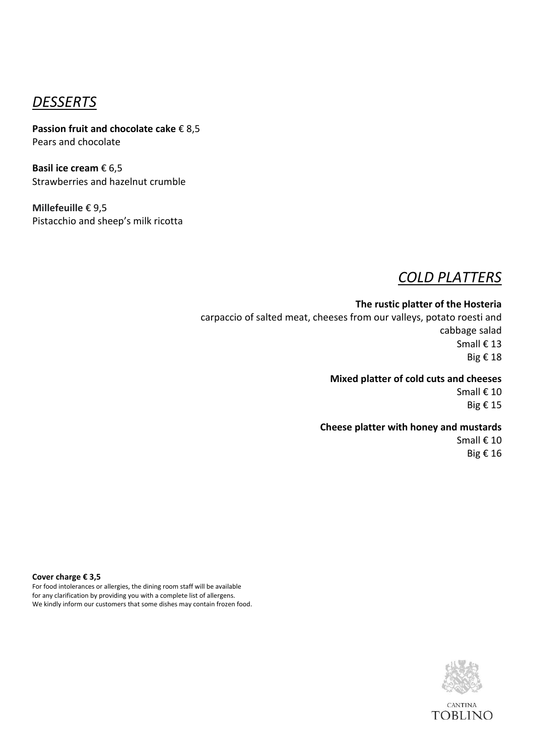### *DESSERTS*

**Passion fruit and chocolate cake** € 8,5 Pears and chocolate

**Basil ice cream** € 6,5 Strawberries and hazelnut crumble

**Millefeuille** € 9,5 Pistacchio and sheep's milk ricotta

### *COLD PLATTERS*

**The rustic platter of the Hosteria** carpaccio of salted meat, cheeses from our valleys, potato roesti and cabbage salad Small € 13 Big € 18

#### **Mixed platter of cold cuts and cheeses**

Small € 10 Big € 15

#### **Cheese platter with honey and mustards**

Small € 10 Big € 16

**Cover charge € 3,5**

For food intolerances or allergies, the dining room staff will be available for any clarification by providing you with a complete list of allergens. We kindly inform our customers that some dishes may contain frozen food.

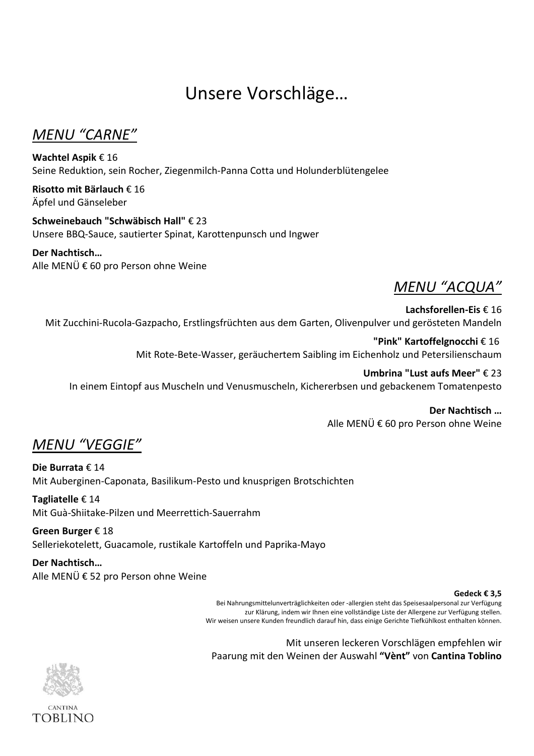# Unsere Vorschläge…

*MENU "CARNE"*

**Wachtel Aspik** € 16 Seine Reduktion, sein Rocher, Ziegenmilch-Panna Cotta und Holunderblütengelee

**Risotto mit Bärlauch** € 16 Äpfel und Gänseleber

**Schweinebauch "Schwäbisch Hall"** € 23 Unsere BBQ-Sauce, sautierter Spinat, Karottenpunsch und Ingwer

### **Der Nachtisch…**

Alle MENÜ € 60 pro Person ohne Weine

## *MENU "ACQUA"*

#### **Lachsforellen-Eis** € 16

Mit Zucchini-Rucola-Gazpacho, Erstlingsfrüchten aus dem Garten, Olivenpulver und gerösteten Mandeln

**"Pink" Kartoffelgnocchi** € 16 Mit Rote-Bete-Wasser, geräuchertem Saibling im Eichenholz und Petersilienschaum

**Umbrina "Lust aufs Meer"** € 23 In einem Eintopf aus Muscheln und Venusmuscheln, Kichererbsen und gebackenem Tomatenpesto

> **Der Nachtisch …** Alle MENÜ € 60 pro Person ohne Weine

*MENU "VEGGIE"*

**Die Burrata** € 14 Mit Auberginen-Caponata, Basilikum-Pesto und knusprigen Brotschichten

**Tagliatelle** € 14 Mit Guà-Shiitake-Pilzen und Meerrettich-Sauerrahm

**Green Burger** € 18 Selleriekotelett, Guacamole, rustikale Kartoffeln und Paprika-Mayo

**Der Nachtisch…** Alle MENÜ € 52 pro Person ohne Weine

#### **Gedeck € 3,5**

Bei Nahrungsmittelunverträglichkeiten oder -allergien steht das Speisesaalpersonal zur Verfügung zur Klärung, indem wir Ihnen eine vollständige Liste der Allergene zur Verfügung stellen. Wir weisen unsere Kunden freundlich darauf hin, dass einige Gerichte Tiefkühlkost enthalten können.

Mit unseren leckeren Vorschlägen empfehlen wir Paarung mit den Weinen der Auswahl **"Vènt"** von **Cantina Toblino**